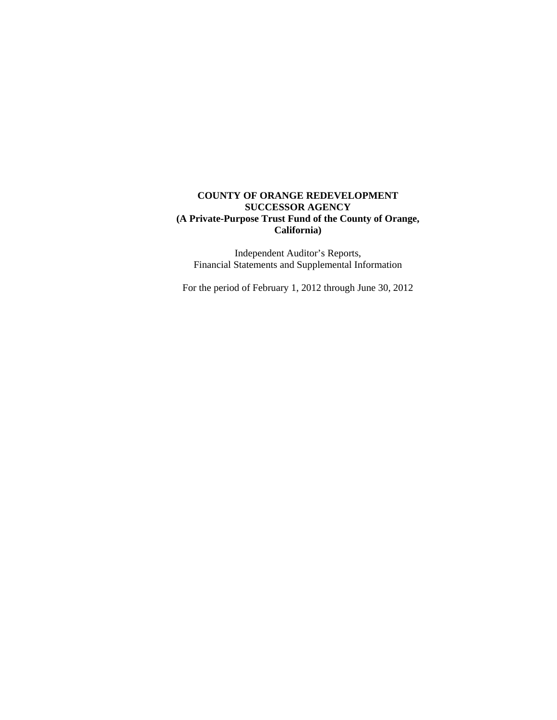# **COUNTY OF ORANGE REDEVELOPMENT SUCCESSOR AGENCY (A Private-Purpose Trust Fund of the County of Orange, California)**

Independent Auditor's Reports, Financial Statements and Supplemental Information

For the period of February 1, 2012 through June 30, 2012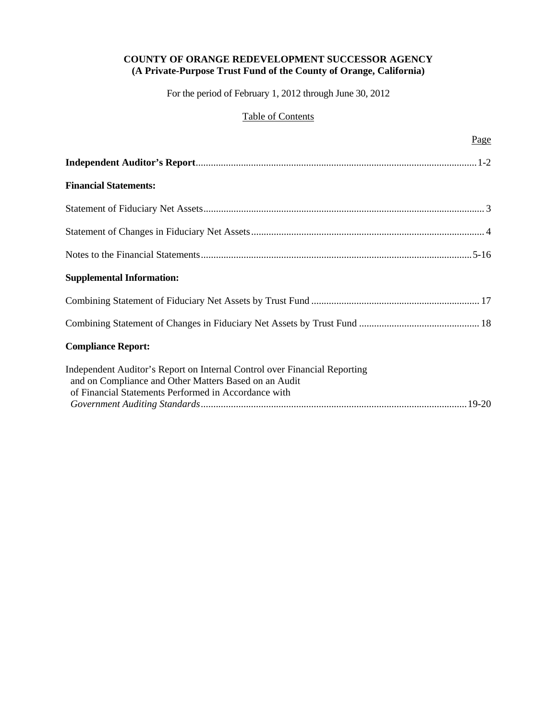# **COUNTY OF ORANGE REDEVELOPMENT SUCCESSOR AGENCY (A Private-Purpose Trust Fund of the County of Orange, California)**

For the period of February 1, 2012 through June 30, 2012

# Table of Contents

|                                                                                                                                                                                            | Page |
|--------------------------------------------------------------------------------------------------------------------------------------------------------------------------------------------|------|
|                                                                                                                                                                                            |      |
| <b>Financial Statements:</b>                                                                                                                                                               |      |
|                                                                                                                                                                                            |      |
|                                                                                                                                                                                            |      |
|                                                                                                                                                                                            |      |
| <b>Supplemental Information:</b>                                                                                                                                                           |      |
|                                                                                                                                                                                            |      |
|                                                                                                                                                                                            |      |
| <b>Compliance Report:</b>                                                                                                                                                                  |      |
| Independent Auditor's Report on Internal Control over Financial Reporting<br>and on Compliance and Other Matters Based on an Audit<br>of Financial Statements Performed in Accordance with |      |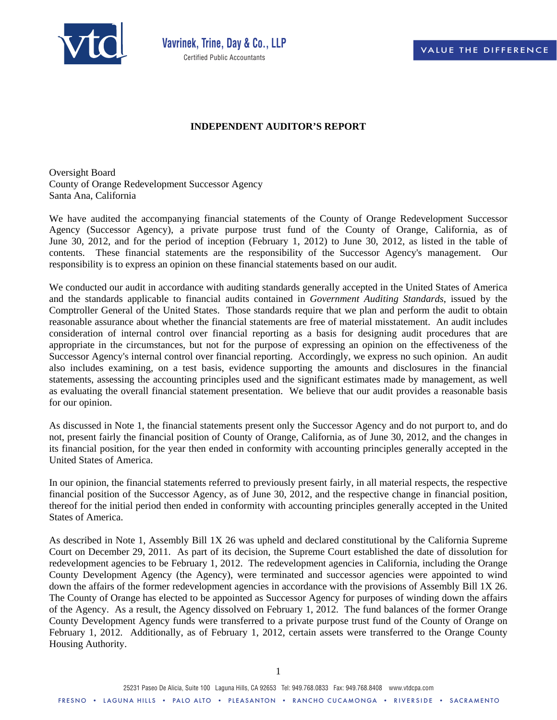

# **INDEPENDENT AUDITOR'S REPORT**

Oversight Board County of Orange Redevelopment Successor Agency Santa Ana, California

We have audited the accompanying financial statements of the County of Orange Redevelopment Successor Agency (Successor Agency), a private purpose trust fund of the County of Orange, California, as of June 30, 2012, and for the period of inception (February 1, 2012) to June 30, 2012, as listed in the table of contents. These financial statements are the responsibility of the Successor Agency's management. Our responsibility is to express an opinion on these financial statements based on our audit.

We conducted our audit in accordance with auditing standards generally accepted in the United States of America and the standards applicable to financial audits contained in *Government Auditing Standards*, issued by the Comptroller General of the United States. Those standards require that we plan and perform the audit to obtain reasonable assurance about whether the financial statements are free of material misstatement. An audit includes consideration of internal control over financial reporting as a basis for designing audit procedures that are appropriate in the circumstances, but not for the purpose of expressing an opinion on the effectiveness of the Successor Agency's internal control over financial reporting. Accordingly, we express no such opinion. An audit also includes examining, on a test basis, evidence supporting the amounts and disclosures in the financial statements, assessing the accounting principles used and the significant estimates made by management, as well as evaluating the overall financial statement presentation. We believe that our audit provides a reasonable basis for our opinion.

As discussed in Note 1, the financial statements present only the Successor Agency and do not purport to, and do not, present fairly the financial position of County of Orange, California, as of June 30, 2012, and the changes in its financial position, for the year then ended in conformity with accounting principles generally accepted in the United States of America.

In our opinion, the financial statements referred to previously present fairly, in all material respects, the respective financial position of the Successor Agency, as of June 30, 2012, and the respective change in financial position, thereof for the initial period then ended in conformity with accounting principles generally accepted in the United States of America.

As described in Note 1, Assembly Bill 1X 26 was upheld and declared constitutional by the California Supreme Court on December 29, 2011. As part of its decision, the Supreme Court established the date of dissolution for redevelopment agencies to be February 1, 2012. The redevelopment agencies in California, including the Orange County Development Agency (the Agency), were terminated and successor agencies were appointed to wind down the affairs of the former redevelopment agencies in accordance with the provisions of Assembly Bill 1X 26. The County of Orange has elected to be appointed as Successor Agency for purposes of winding down the affairs of the Agency. As a result, the Agency dissolved on February 1, 2012. The fund balances of the former Orange County Development Agency funds were transferred to a private purpose trust fund of the County of Orange on February 1, 2012. Additionally, as of February 1, 2012, certain assets were transferred to the Orange County Housing Authority.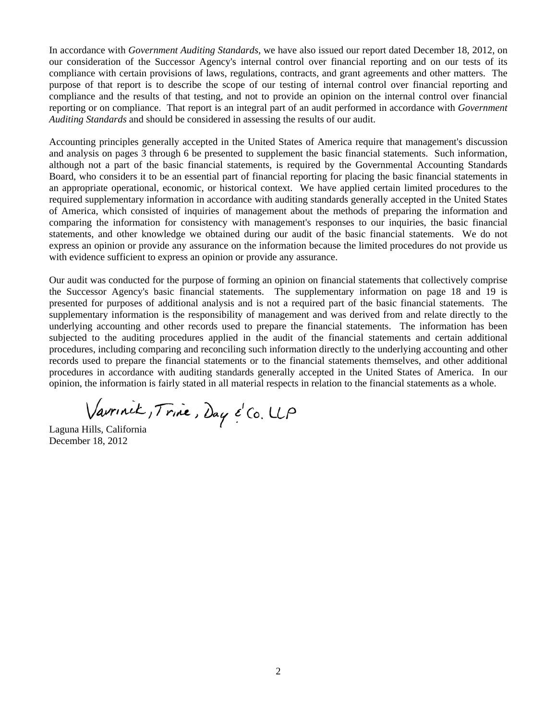In accordance with *Government Auditing Standards*, we have also issued our report dated December 18, 2012, on our consideration of the Successor Agency's internal control over financial reporting and on our tests of its compliance with certain provisions of laws, regulations, contracts, and grant agreements and other matters. The purpose of that report is to describe the scope of our testing of internal control over financial reporting and compliance and the results of that testing, and not to provide an opinion on the internal control over financial reporting or on compliance. That report is an integral part of an audit performed in accordance with *Government Auditing Standards* and should be considered in assessing the results of our audit.

Accounting principles generally accepted in the United States of America require that management's discussion and analysis on pages 3 through 6 be presented to supplement the basic financial statements. Such information, although not a part of the basic financial statements, is required by the Governmental Accounting Standards Board, who considers it to be an essential part of financial reporting for placing the basic financial statements in an appropriate operational, economic, or historical context. We have applied certain limited procedures to the required supplementary information in accordance with auditing standards generally accepted in the United States of America, which consisted of inquiries of management about the methods of preparing the information and comparing the information for consistency with management's responses to our inquiries, the basic financial statements, and other knowledge we obtained during our audit of the basic financial statements. We do not express an opinion or provide any assurance on the information because the limited procedures do not provide us with evidence sufficient to express an opinion or provide any assurance.

Our audit was conducted for the purpose of forming an opinion on financial statements that collectively comprise the Successor Agency's basic financial statements. The supplementary information on page 18 and 19 is presented for purposes of additional analysis and is not a required part of the basic financial statements. The supplementary information is the responsibility of management and was derived from and relate directly to the underlying accounting and other records used to prepare the financial statements. The information has been subjected to the auditing procedures applied in the audit of the financial statements and certain additional procedures, including comparing and reconciling such information directly to the underlying accounting and other records used to prepare the financial statements or to the financial statements themselves, and other additional procedures in accordance with auditing standards generally accepted in the United States of America. In our opinion, the information is fairly stated in all material respects in relation to the financial statements as a whole.

Vavrinck, Trine, Day é Co. LLP

December 18, 2012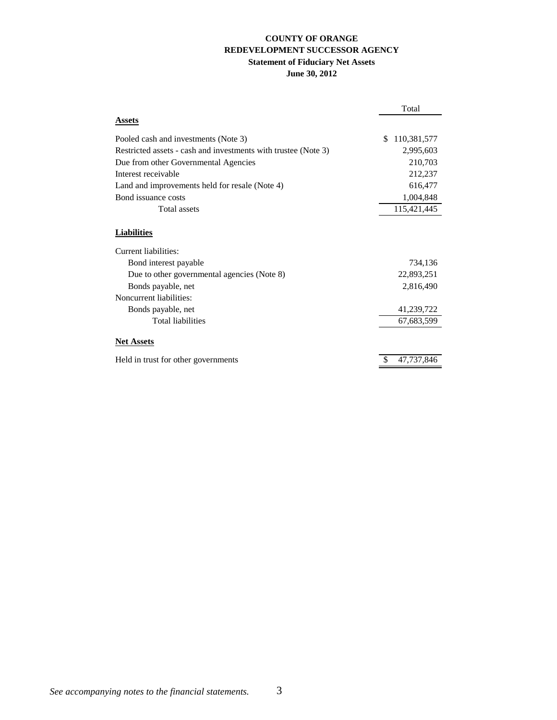# **COUNTY OF ORANGE REDEVELOPMENT SUCCESSOR AGENCY Statement of Fiduciary Net Assets June 30, 2012**

|                                                                | Total             |
|----------------------------------------------------------------|-------------------|
| <b>Assets</b>                                                  |                   |
| Pooled cash and investments (Note 3)                           | 110,381,577<br>\$ |
| Restricted assets - cash and investments with trustee (Note 3) | 2,995,603         |
| Due from other Governmental Agencies                           | 210,703           |
| Interest receivable                                            | 212,237           |
| Land and improvements held for resale (Note 4)                 | 616,477           |
| Bond issuance costs                                            | 1,004,848         |
| <b>Total assets</b>                                            | 115,421,445       |
| <b>Liabilities</b>                                             |                   |
| Current liabilities:                                           |                   |
| Bond interest payable                                          | 734,136           |
| Due to other governmental agencies (Note 8)                    | 22,893,251        |
| Bonds payable, net                                             | 2,816,490         |
| Noncurrent liabilities:                                        |                   |
| Bonds payable, net                                             | 41,239,722        |
| <b>Total liabilities</b>                                       | 67,683,599        |
| <b>Net Assets</b>                                              |                   |
| Held in trust for other governments                            | 47,737,846        |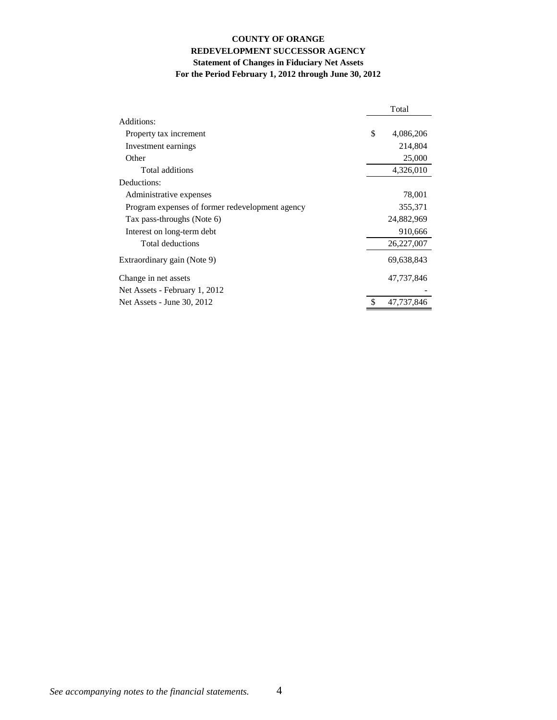# **For the Period February 1, 2012 through June 30, 2012 COUNTY OF ORANGE REDEVELOPMENT SUCCESSOR AGENCY Statement of Changes in Fiduciary Net Assets**

|                                                 | Total |            |  |
|-------------------------------------------------|-------|------------|--|
| Additions:                                      |       |            |  |
| Property tax increment                          | \$    | 4,086,206  |  |
| Investment earnings                             |       | 214,804    |  |
| Other                                           |       | 25,000     |  |
| Total additions                                 |       | 4,326,010  |  |
| Deductions:                                     |       |            |  |
| Administrative expenses                         |       | 78,001     |  |
| Program expenses of former redevelopment agency |       | 355,371    |  |
| Tax pass-throughs (Note 6)                      |       | 24,882,969 |  |
| Interest on long-term debt                      |       | 910,666    |  |
| Total deductions                                |       | 26,227,007 |  |
| Extraordinary gain (Note 9)                     |       | 69,638,843 |  |
| Change in net assets                            |       | 47,737,846 |  |
| Net Assets - February 1, 2012                   |       |            |  |
| Net Assets - June 30, 2012                      | \$    | 47.737.846 |  |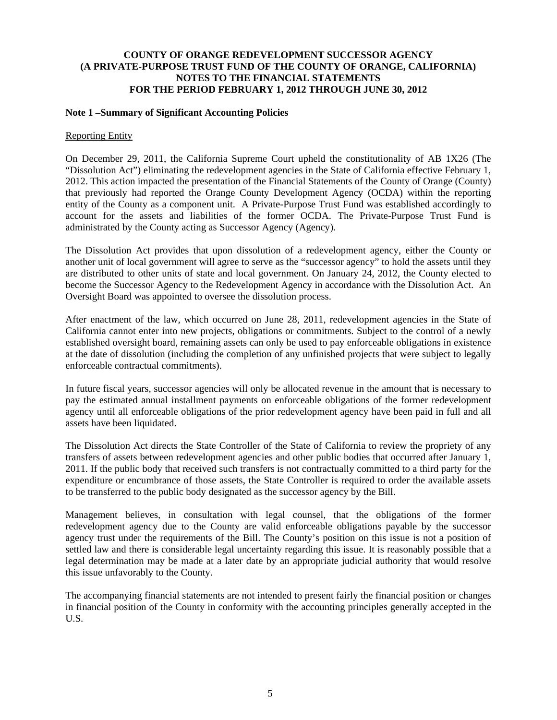#### **Note 1 –Summary of Significant Accounting Policies**

#### Reporting Entity

On December 29, 2011, the California Supreme Court upheld the constitutionality of AB 1X26 (The "Dissolution Act") eliminating the redevelopment agencies in the State of California effective February 1, 2012. This action impacted the presentation of the Financial Statements of the County of Orange (County) that previously had reported the Orange County Development Agency (OCDA) within the reporting entity of the County as a component unit. A Private-Purpose Trust Fund was established accordingly to account for the assets and liabilities of the former OCDA. The Private-Purpose Trust Fund is administrated by the County acting as Successor Agency (Agency).

The Dissolution Act provides that upon dissolution of a redevelopment agency, either the County or another unit of local government will agree to serve as the "successor agency" to hold the assets until they are distributed to other units of state and local government. On January 24, 2012, the County elected to become the Successor Agency to the Redevelopment Agency in accordance with the Dissolution Act. An Oversight Board was appointed to oversee the dissolution process.

After enactment of the law, which occurred on June 28, 2011, redevelopment agencies in the State of California cannot enter into new projects, obligations or commitments. Subject to the control of a newly established oversight board, remaining assets can only be used to pay enforceable obligations in existence at the date of dissolution (including the completion of any unfinished projects that were subject to legally enforceable contractual commitments).

In future fiscal years, successor agencies will only be allocated revenue in the amount that is necessary to pay the estimated annual installment payments on enforceable obligations of the former redevelopment agency until all enforceable obligations of the prior redevelopment agency have been paid in full and all assets have been liquidated.

The Dissolution Act directs the State Controller of the State of California to review the propriety of any transfers of assets between redevelopment agencies and other public bodies that occurred after January 1, 2011. If the public body that received such transfers is not contractually committed to a third party for the expenditure or encumbrance of those assets, the State Controller is required to order the available assets to be transferred to the public body designated as the successor agency by the Bill.

Management believes, in consultation with legal counsel, that the obligations of the former redevelopment agency due to the County are valid enforceable obligations payable by the successor agency trust under the requirements of the Bill. The County's position on this issue is not a position of settled law and there is considerable legal uncertainty regarding this issue. It is reasonably possible that a legal determination may be made at a later date by an appropriate judicial authority that would resolve this issue unfavorably to the County.

The accompanying financial statements are not intended to present fairly the financial position or changes in financial position of the County in conformity with the accounting principles generally accepted in the U.S.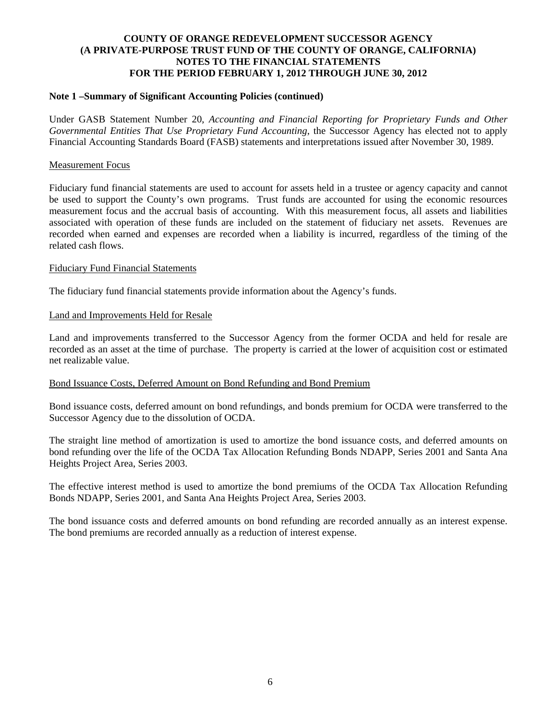### **Note 1 –Summary of Significant Accounting Policies (continued)**

Under GASB Statement Number 20, *Accounting and Financial Reporting for Proprietary Funds and Other Governmental Entities That Use Proprietary Fund Accounting*, the Successor Agency has elected not to apply Financial Accounting Standards Board (FASB) statements and interpretations issued after November 30, 1989.

### Measurement Focus

Fiduciary fund financial statements are used to account for assets held in a trustee or agency capacity and cannot be used to support the County's own programs. Trust funds are accounted for using the economic resources measurement focus and the accrual basis of accounting. With this measurement focus, all assets and liabilities associated with operation of these funds are included on the statement of fiduciary net assets. Revenues are recorded when earned and expenses are recorded when a liability is incurred, regardless of the timing of the related cash flows.

### Fiduciary Fund Financial Statements

The fiduciary fund financial statements provide information about the Agency's funds.

### Land and Improvements Held for Resale

Land and improvements transferred to the Successor Agency from the former OCDA and held for resale are recorded as an asset at the time of purchase. The property is carried at the lower of acquisition cost or estimated net realizable value.

#### Bond Issuance Costs, Deferred Amount on Bond Refunding and Bond Premium

Bond issuance costs, deferred amount on bond refundings, and bonds premium for OCDA were transferred to the Successor Agency due to the dissolution of OCDA.

The straight line method of amortization is used to amortize the bond issuance costs, and deferred amounts on bond refunding over the life of the OCDA Tax Allocation Refunding Bonds NDAPP, Series 2001 and Santa Ana Heights Project Area, Series 2003.

The effective interest method is used to amortize the bond premiums of the OCDA Tax Allocation Refunding Bonds NDAPP, Series 2001, and Santa Ana Heights Project Area, Series 2003.

The bond issuance costs and deferred amounts on bond refunding are recorded annually as an interest expense. The bond premiums are recorded annually as a reduction of interest expense.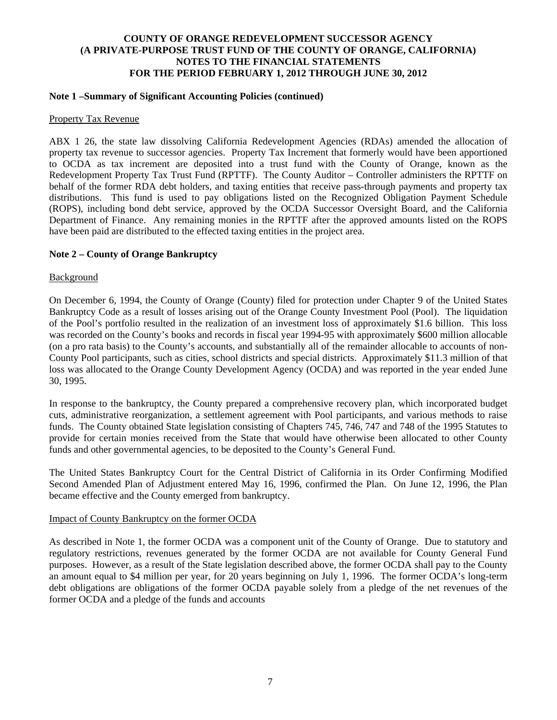### **Note 1 –Summary of Significant Accounting Policies (continued)**

#### Property Tax Revenue

ABX 1 26, the state law dissolving California Redevelopment Agencies (RDAs) amended the allocation of property tax revenue to successor agencies. Property Tax Increment that formerly would have been apportioned to OCDA as tax increment are deposited into a trust fund with the County of Orange, known as the Redevelopment Property Tax Trust Fund (RPTTF). The County Auditor – Controller administers the RPTTF on behalf of the former RDA debt holders, and taxing entities that receive pass-through payments and property tax distributions. This fund is used to pay obligations listed on the Recognized Obligation Payment Schedule (ROPS), including bond debt service, approved by the OCDA Successor Oversight Board, and the California Department of Finance. Any remaining monies in the RPTTF after the approved amounts listed on the ROPS have been paid are distributed to the effected taxing entities in the project area.

### **Note 2 – County of Orange Bankruptcy**

### Background

On December 6, 1994, the County of Orange (County) filed for protection under Chapter 9 of the United States Bankruptcy Code as a result of losses arising out of the Orange County Investment Pool (Pool). The liquidation of the Pool's portfolio resulted in the realization of an investment loss of approximately \$1.6 billion. This loss was recorded on the County's books and records in fiscal year 1994-95 with approximately \$600 million allocable (on a pro rata basis) to the County's accounts, and substantially all of the remainder allocable to accounts of non-County Pool participants, such as cities, school districts and special districts. Approximately \$11.3 million of that loss was allocated to the Orange County Development Agency (OCDA) and was reported in the year ended June 30, 1995.

In response to the bankruptcy, the County prepared a comprehensive recovery plan, which incorporated budget cuts, administrative reorganization, a settlement agreement with Pool participants, and various methods to raise funds. The County obtained State legislation consisting of Chapters 745, 746, 747 and 748 of the 1995 Statutes to provide for certain monies received from the State that would have otherwise been allocated to other County funds and other governmental agencies, to be deposited to the County's General Fund.

The United States Bankruptcy Court for the Central District of California in its Order Confirming Modified Second Amended Plan of Adjustment entered May 16, 1996, confirmed the Plan. On June 12, 1996, the Plan became effective and the County emerged from bankruptcy.

#### Impact of County Bankruptcy on the former OCDA

As described in Note 1, the former OCDA was a component unit of the County of Orange. Due to statutory and regulatory restrictions, revenues generated by the former OCDA are not available for County General Fund purposes. However, as a result of the State legislation described above, the former OCDA shall pay to the County an amount equal to \$4 million per year, for 20 years beginning on July 1, 1996. The former OCDA's long-term debt obligations are obligations of the former OCDA payable solely from a pledge of the net revenues of the former OCDA and a pledge of the funds and accounts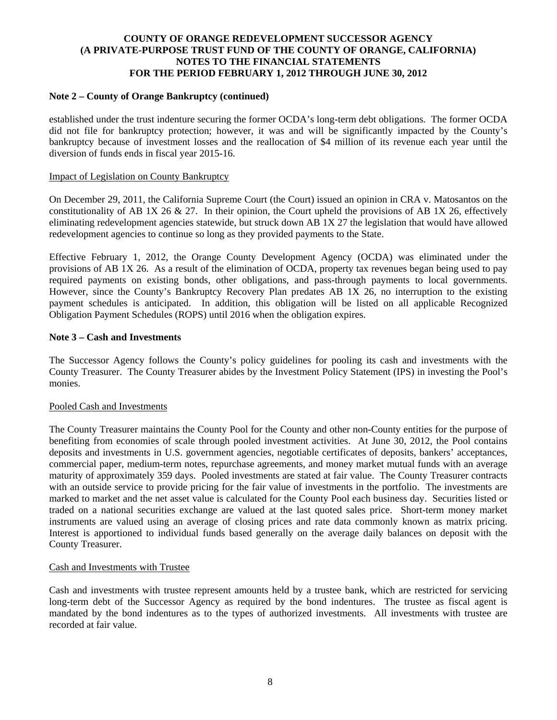### **Note 2 – County of Orange Bankruptcy (continued)**

established under the trust indenture securing the former OCDA's long-term debt obligations. The former OCDA did not file for bankruptcy protection; however, it was and will be significantly impacted by the County's bankruptcy because of investment losses and the reallocation of \$4 million of its revenue each year until the diversion of funds ends in fiscal year 2015-16.

### Impact of Legislation on County Bankruptcy

On December 29, 2011, the California Supreme Court (the Court) issued an opinion in CRA v. Matosantos on the constitutionality of AB 1X 26  $\&$  27. In their opinion, the Court upheld the provisions of AB 1X 26, effectively eliminating redevelopment agencies statewide, but struck down AB 1X 27 the legislation that would have allowed redevelopment agencies to continue so long as they provided payments to the State.

Effective February 1, 2012, the Orange County Development Agency (OCDA) was eliminated under the provisions of AB 1X 26. As a result of the elimination of OCDA, property tax revenues began being used to pay required payments on existing bonds, other obligations, and pass-through payments to local governments. However, since the County's Bankruptcy Recovery Plan predates AB 1X 26, no interruption to the existing payment schedules is anticipated. In addition, this obligation will be listed on all applicable Recognized Obligation Payment Schedules (ROPS) until 2016 when the obligation expires.

### **Note 3 – Cash and Investments**

The Successor Agency follows the County's policy guidelines for pooling its cash and investments with the County Treasurer. The County Treasurer abides by the Investment Policy Statement (IPS) in investing the Pool's monies.

#### Pooled Cash and Investments

The County Treasurer maintains the County Pool for the County and other non-County entities for the purpose of benefiting from economies of scale through pooled investment activities. At June 30, 2012, the Pool contains deposits and investments in U.S. government agencies, negotiable certificates of deposits, bankers' acceptances, commercial paper, medium-term notes, repurchase agreements, and money market mutual funds with an average maturity of approximately 359 days. Pooled investments are stated at fair value. The County Treasurer contracts with an outside service to provide pricing for the fair value of investments in the portfolio. The investments are marked to market and the net asset value is calculated for the County Pool each business day. Securities listed or traded on a national securities exchange are valued at the last quoted sales price. Short-term money market instruments are valued using an average of closing prices and rate data commonly known as matrix pricing. Interest is apportioned to individual funds based generally on the average daily balances on deposit with the County Treasurer.

# Cash and Investments with Trustee

Cash and investments with trustee represent amounts held by a trustee bank, which are restricted for servicing long-term debt of the Successor Agency as required by the bond indentures. The trustee as fiscal agent is mandated by the bond indentures as to the types of authorized investments. All investments with trustee are recorded at fair value.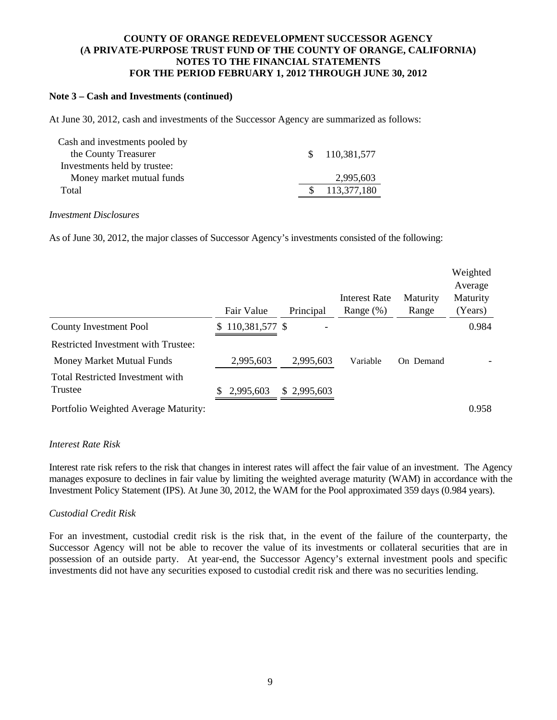# **Note 3 – Cash and Investments (continued)**

At June 30, 2012, cash and investments of the Successor Agency are summarized as follows:

| Cash and investments pooled by |               |
|--------------------------------|---------------|
| the County Treasurer           | \$110,381,577 |
| Investments held by trustee:   |               |
| Money market mutual funds      | 2,995,603     |
| Total                          | 113,377,180   |

#### *Investment Disclosures*

As of June 30, 2012, the major classes of Successor Agency's investments consisted of the following:

|                                      |                      |             | Interest Rate | <b>Maturity</b> | Weighted<br>Average<br>Maturity |
|--------------------------------------|----------------------|-------------|---------------|-----------------|---------------------------------|
|                                      | Fair Value           | Principal   | Range $(\% )$ | Range           | (Years)                         |
| <b>County Investment Pool</b>        | 110,381,577 \$<br>S. |             |               |                 | 0.984                           |
| Restricted Investment with Trustee:  |                      |             |               |                 |                                 |
| Money Market Mutual Funds            | 2,995,603            | 2,995,603   | Variable      | On Demand       |                                 |
| Total Restricted Investment with     |                      |             |               |                 |                                 |
| Trustee                              | 2,995,603<br>S       | \$2,995,603 |               |                 |                                 |
| Portfolio Weighted Average Maturity: |                      |             |               |                 | 0.958                           |

#### *Interest Rate Risk*

Interest rate risk refers to the risk that changes in interest rates will affect the fair value of an investment. The Agency manages exposure to declines in fair value by limiting the weighted average maturity (WAM) in accordance with the Investment Policy Statement (IPS). At June 30, 2012, the WAM for the Pool approximated 359 days (0.984 years).

# *Custodial Credit Risk*

For an investment, custodial credit risk is the risk that, in the event of the failure of the counterparty, the Successor Agency will not be able to recover the value of its investments or collateral securities that are in possession of an outside party. At year-end, the Successor Agency's external investment pools and specific investments did not have any securities exposed to custodial credit risk and there was no securities lending.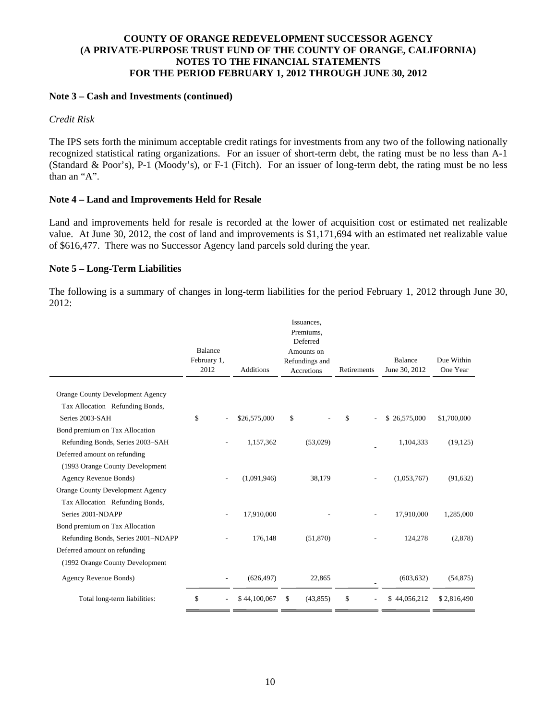### **Note 3 – Cash and Investments (continued)**

### *Credit Risk*

The IPS sets forth the minimum acceptable credit ratings for investments from any two of the following nationally recognized statistical rating organizations. For an issuer of short-term debt, the rating must be no less than A-1 (Standard & Poor's), P-1 (Moody's), or F-1 (Fitch). For an issuer of long-term debt, the rating must be no less than an "A".

# **Note 4 – Land and Improvements Held for Resale**

Land and improvements held for resale is recorded at the lower of acquisition cost or estimated net realizable value. At June 30, 2012, the cost of land and improvements is \$1,171,694 with an estimated net realizable value of \$616,477. There was no Successor Agency land parcels sold during the year.

### **Note 5 – Long-Term Liabilities**

The following is a summary of changes in long-term liabilities for the period February 1, 2012 through June 30, 2012:

|                                         |             | <b>Balance</b> |                  |                              |             |  |               |             |
|-----------------------------------------|-------------|----------------|------------------|------------------------------|-------------|--|---------------|-------------|
|                                         | February 1, |                |                  | Amounts on<br>Refundings and |             |  | Balance       | Due Within  |
|                                         |             | 2012           | <b>Additions</b> | Accretions                   | Retirements |  | June 30, 2012 | One Year    |
|                                         |             |                |                  |                              |             |  |               |             |
| <b>Orange County Development Agency</b> |             |                |                  |                              |             |  |               |             |
| Tax Allocation Refunding Bonds,         |             |                |                  |                              |             |  |               |             |
| Series 2003-SAH                         | \$          |                | \$26,575,000     | \$                           | \$          |  | \$26,575,000  | \$1,700,000 |
| Bond premium on Tax Allocation          |             |                |                  |                              |             |  |               |             |
| Refunding Bonds, Series 2003-SAH        |             |                | 1,157,362        | (53,029)                     |             |  | 1,104,333     | (19, 125)   |
| Deferred amount on refunding            |             |                |                  |                              |             |  |               |             |
| (1993 Orange County Development         |             |                |                  |                              |             |  |               |             |
| Agency Revenue Bonds)                   |             |                | (1,091,946)      | 38,179                       |             |  | (1,053,767)   | (91, 632)   |
| Orange County Development Agency        |             |                |                  |                              |             |  |               |             |
| Tax Allocation Refunding Bonds,         |             |                |                  |                              |             |  |               |             |
| Series 2001-NDAPP                       |             |                | 17,910,000       |                              |             |  | 17,910,000    | 1,285,000   |
| Bond premium on Tax Allocation          |             |                |                  |                              |             |  |               |             |
| Refunding Bonds, Series 2001-NDAPP      |             |                | 176,148          | (51, 870)                    |             |  | 124,278       | (2,878)     |
| Deferred amount on refunding            |             |                |                  |                              |             |  |               |             |
| (1992 Orange County Development         |             |                |                  |                              |             |  |               |             |
| Agency Revenue Bonds)                   |             |                | (626, 497)       | 22,865                       |             |  | (603, 632)    | (54, 875)   |
| Total long-term liabilities:            | \$          | $\sim$         | \$44,100,067     | \$<br>(43, 855)              | \$          |  | \$44,056,212  | \$2,816,490 |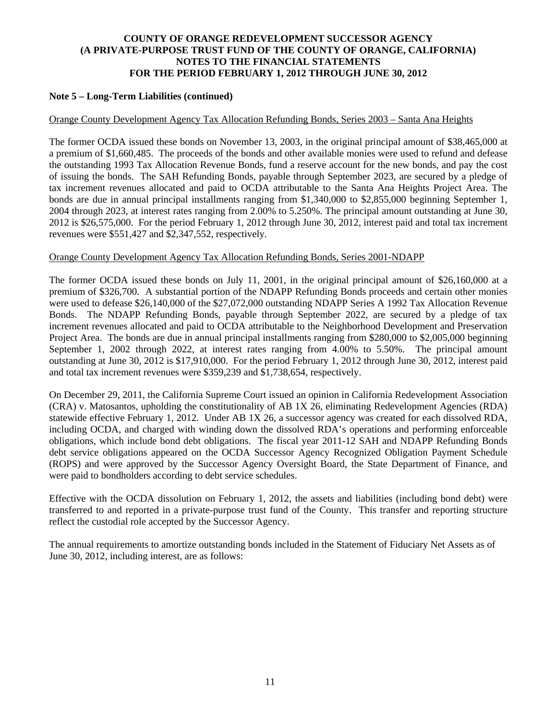### **Note 5 – Long-Term Liabilities (continued)**

#### Orange County Development Agency Tax Allocation Refunding Bonds, Series 2003 – Santa Ana Heights

The former OCDA issued these bonds on November 13, 2003, in the original principal amount of \$38,465,000 at a premium of \$1,660,485. The proceeds of the bonds and other available monies were used to refund and defease the outstanding 1993 Tax Allocation Revenue Bonds, fund a reserve account for the new bonds, and pay the cost of issuing the bonds. The SAH Refunding Bonds, payable through September 2023, are secured by a pledge of tax increment revenues allocated and paid to OCDA attributable to the Santa Ana Heights Project Area. The bonds are due in annual principal installments ranging from \$1,340,000 to \$2,855,000 beginning September 1, 2004 through 2023, at interest rates ranging from 2.00% to 5.250%. The principal amount outstanding at June 30, 2012 is \$26,575,000. For the period February 1, 2012 through June 30, 2012, interest paid and total tax increment revenues were \$551,427 and \$2,347,552, respectively.

### Orange County Development Agency Tax Allocation Refunding Bonds, Series 2001-NDAPP

The former OCDA issued these bonds on July 11, 2001, in the original principal amount of \$26,160,000 at a premium of \$326,700. A substantial portion of the NDAPP Refunding Bonds proceeds and certain other monies were used to defease \$26,140,000 of the \$27,072,000 outstanding NDAPP Series A 1992 Tax Allocation Revenue Bonds. The NDAPP Refunding Bonds, payable through September 2022, are secured by a pledge of tax increment revenues allocated and paid to OCDA attributable to the Neighborhood Development and Preservation Project Area. The bonds are due in annual principal installments ranging from \$280,000 to \$2,005,000 beginning September 1, 2002 through 2022, at interest rates ranging from 4.00% to 5.50%. The principal amount outstanding at June 30, 2012 is \$17,910,000. For the period February 1, 2012 through June 30, 2012, interest paid and total tax increment revenues were \$359,239 and \$1,738,654, respectively.

On December 29, 2011, the California Supreme Court issued an opinion in California Redevelopment Association (CRA) v. Matosantos, upholding the constitutionality of AB 1X 26, eliminating Redevelopment Agencies (RDA) statewide effective February 1, 2012. Under AB 1X 26, a successor agency was created for each dissolved RDA, including OCDA, and charged with winding down the dissolved RDA's operations and performing enforceable obligations, which include bond debt obligations. The fiscal year 2011-12 SAH and NDAPP Refunding Bonds debt service obligations appeared on the OCDA Successor Agency Recognized Obligation Payment Schedule (ROPS) and were approved by the Successor Agency Oversight Board, the State Department of Finance, and were paid to bondholders according to debt service schedules.

Effective with the OCDA dissolution on February 1, 2012, the assets and liabilities (including bond debt) were transferred to and reported in a private-purpose trust fund of the County. This transfer and reporting structure reflect the custodial role accepted by the Successor Agency.

The annual requirements to amortize outstanding bonds included in the Statement of Fiduciary Net Assets as of June 30, 2012, including interest, are as follows: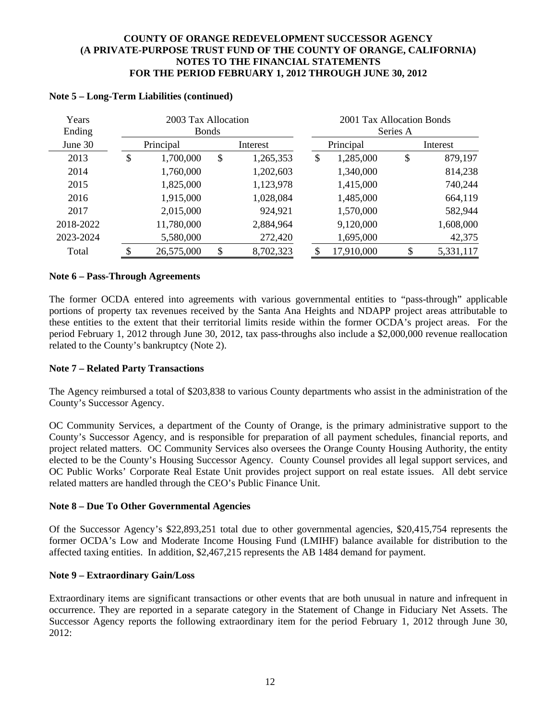| Years     | 2003 Tax Allocation |              |    |           |    | 2001 Tax Allocation Bonds |          |           |
|-----------|---------------------|--------------|----|-----------|----|---------------------------|----------|-----------|
| Ending    |                     | <b>Bonds</b> |    |           |    |                           | Series A |           |
| June 30   |                     | Principal    |    | Interest  |    | Principal                 |          | Interest  |
| 2013      | \$                  | 1,700,000    | \$ | 1,265,353 | \$ | 1,285,000                 | \$       | 879,197   |
| 2014      |                     | 1,760,000    |    | 1,202,603 |    | 1,340,000                 |          | 814,238   |
| 2015      |                     | 1,825,000    |    | 1,123,978 |    | 1,415,000                 |          | 740,244   |
| 2016      |                     | 1,915,000    |    | 1,028,084 |    | 1,485,000                 |          | 664,119   |
| 2017      |                     | 2,015,000    |    | 924,921   |    | 1,570,000                 |          | 582,944   |
| 2018-2022 |                     | 11,780,000   |    | 2,884,964 |    | 9,120,000                 |          | 1,608,000 |
| 2023-2024 |                     | 5,580,000    |    | 272,420   |    | 1,695,000                 |          | 42,375    |
| Total     | \$                  | 26,575,000   | \$ | 8,702,323 | \$ | 17,910,000                | \$       | 5,331,117 |

#### **Note 5 – Long-Term Liabilities (continued)**

### **Note 6 – Pass-Through Agreements**

The former OCDA entered into agreements with various governmental entities to "pass-through" applicable portions of property tax revenues received by the Santa Ana Heights and NDAPP project areas attributable to these entities to the extent that their territorial limits reside within the former OCDA's project areas. For the period February 1, 2012 through June 30, 2012, tax pass-throughs also include a \$2,000,000 revenue reallocation related to the County's bankruptcy (Note 2).

# **Note 7 – Related Party Transactions**

The Agency reimbursed a total of \$203,838 to various County departments who assist in the administration of the County's Successor Agency.

OC Community Services, a department of the County of Orange, is the primary administrative support to the County's Successor Agency, and is responsible for preparation of all payment schedules, financial reports, and project related matters. OC Community Services also oversees the Orange County Housing Authority, the entity elected to be the County's Housing Successor Agency. County Counsel provides all legal support services, and OC Public Works' Corporate Real Estate Unit provides project support on real estate issues. All debt service related matters are handled through the CEO's Public Finance Unit.

#### **Note 8 – Due To Other Governmental Agencies**

Of the Successor Agency's \$22,893,251 total due to other governmental agencies, \$20,415,754 represents the former OCDA's Low and Moderate Income Housing Fund (LMIHF) balance available for distribution to the affected taxing entities. In addition, \$2,467,215 represents the AB 1484 demand for payment.

#### **Note 9 – Extraordinary Gain/Loss**

Extraordinary items are significant transactions or other events that are both unusual in nature and infrequent in occurrence. They are reported in a separate category in the Statement of Change in Fiduciary Net Assets. The Successor Agency reports the following extraordinary item for the period February 1, 2012 through June 30, 2012: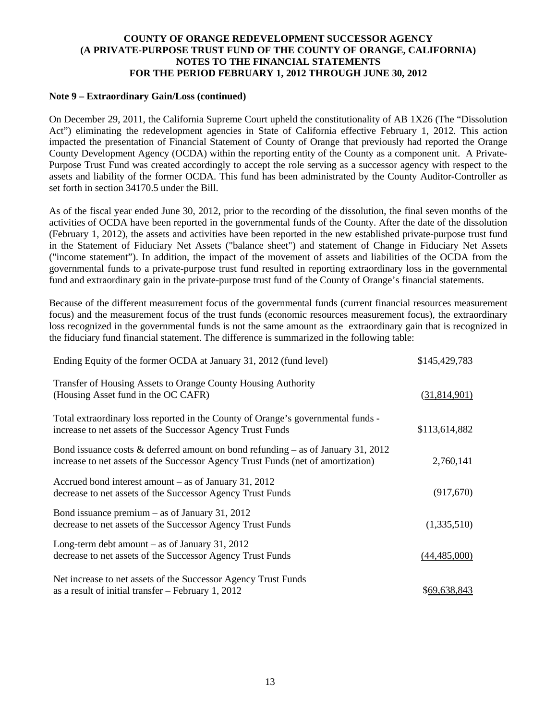### **Note 9 – Extraordinary Gain/Loss (continued)**

On December 29, 2011, the California Supreme Court upheld the constitutionality of AB 1X26 (The "Dissolution Act") eliminating the redevelopment agencies in State of California effective February 1, 2012. This action impacted the presentation of Financial Statement of County of Orange that previously had reported the Orange County Development Agency (OCDA) within the reporting entity of the County as a component unit. A Private-Purpose Trust Fund was created accordingly to accept the role serving as a successor agency with respect to the assets and liability of the former OCDA. This fund has been administrated by the County Auditor-Controller as set forth in section 34170.5 under the Bill.

As of the fiscal year ended June 30, 2012, prior to the recording of the dissolution, the final seven months of the activities of OCDA have been reported in the governmental funds of the County. After the date of the dissolution (February 1, 2012), the assets and activities have been reported in the new established private-purpose trust fund in the Statement of Fiduciary Net Assets ("balance sheet") and statement of Change in Fiduciary Net Assets ("income statement"). In addition, the impact of the movement of assets and liabilities of the OCDA from the governmental funds to a private-purpose trust fund resulted in reporting extraordinary loss in the governmental fund and extraordinary gain in the private-purpose trust fund of the County of Orange's financial statements.

Because of the different measurement focus of the governmental funds (current financial resources measurement focus) and the measurement focus of the trust funds (economic resources measurement focus), the extraordinary loss recognized in the governmental funds is not the same amount as the extraordinary gain that is recognized in the fiduciary fund financial statement. The difference is summarized in the following table:

| Ending Equity of the former OCDA at January 31, 2012 (fund level)                                                                                                       | \$145,429,783  |
|-------------------------------------------------------------------------------------------------------------------------------------------------------------------------|----------------|
| Transfer of Housing Assets to Orange County Housing Authority<br>(Housing Asset fund in the OC CAFR)                                                                    | (31, 814, 901) |
| Total extraordinary loss reported in the County of Orange's governmental funds -<br>increase to net assets of the Successor Agency Trust Funds                          | \$113,614,882  |
| Bond issuance costs $\&$ deferred amount on bond refunding – as of January 31, 2012<br>increase to net assets of the Successor Agency Trust Funds (net of amortization) | 2,760,141      |
| Accrued bond interest amount – as of January 31, 2012<br>decrease to net assets of the Successor Agency Trust Funds                                                     | (917,670)      |
| Bond issuance premium – as of January 31, 2012<br>decrease to net assets of the Successor Agency Trust Funds                                                            | (1,335,510)    |
| Long-term debt amount $-$ as of January 31, 2012<br>decrease to net assets of the Successor Agency Trust Funds                                                          | (44, 485, 000) |
| Net increase to net assets of the Successor Agency Trust Funds<br>as a result of initial transfer - February 1, 2012                                                    | \$69,638,843   |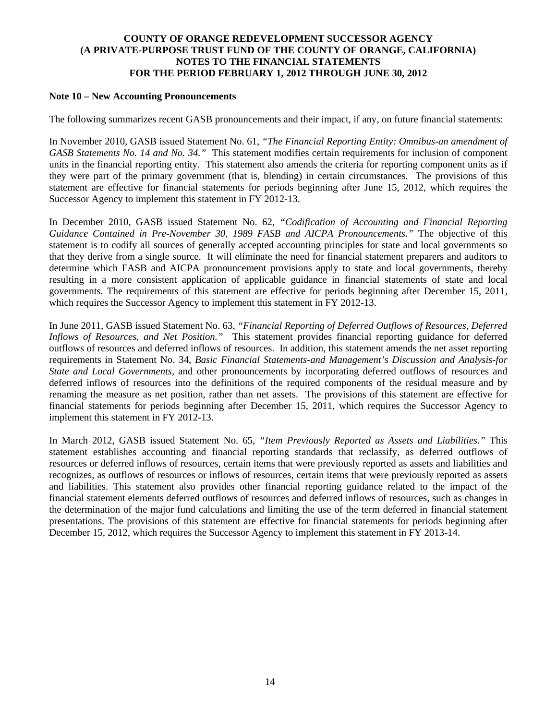#### **Note 10 – New Accounting Pronouncements**

The following summarizes recent GASB pronouncements and their impact, if any, on future financial statements:

In November 2010, GASB issued Statement No. 61, *"The Financial Reporting Entity: Omnibus-an amendment of GASB Statements No. 14 and No. 34."* This statement modifies certain requirements for inclusion of component units in the financial reporting entity. This statement also amends the criteria for reporting component units as if they were part of the primary government (that is, blending) in certain circumstances. The provisions of this statement are effective for financial statements for periods beginning after June 15, 2012, which requires the Successor Agency to implement this statement in FY 2012-13.

In December 2010, GASB issued Statement No. 62, *"Codification of Accounting and Financial Reporting Guidance Contained in Pre-November 30, 1989 FASB and AICPA Pronouncements."* The objective of this statement is to codify all sources of generally accepted accounting principles for state and local governments so that they derive from a single source. It will eliminate the need for financial statement preparers and auditors to determine which FASB and AICPA pronouncement provisions apply to state and local governments, thereby resulting in a more consistent application of applicable guidance in financial statements of state and local governments. The requirements of this statement are effective for periods beginning after December 15, 2011, which requires the Successor Agency to implement this statement in FY 2012-13.

In June 2011, GASB issued Statement No. 63, *"Financial Reporting of Deferred Outflows of Resources, Deferred Inflows of Resources, and Net Position."* This statement provides financial reporting guidance for deferred outflows of resources and deferred inflows of resources. In addition, this statement amends the net asset reporting requirements in Statement No. 34, *Basic Financial Statements-and Management's Discussion and Analysis-for State and Local Governments,* and other pronouncements by incorporating deferred outflows of resources and deferred inflows of resources into the definitions of the required components of the residual measure and by renaming the measure as net position, rather than net assets. The provisions of this statement are effective for financial statements for periods beginning after December 15, 2011, which requires the Successor Agency to implement this statement in FY 2012-13.

In March 2012, GASB issued Statement No. 65, *"Item Previously Reported as Assets and Liabilities."* This statement establishes accounting and financial reporting standards that reclassify, as deferred outflows of resources or deferred inflows of resources, certain items that were previously reported as assets and liabilities and recognizes, as outflows of resources or inflows of resources, certain items that were previously reported as assets and liabilities. This statement also provides other financial reporting guidance related to the impact of the financial statement elements deferred outflows of resources and deferred inflows of resources, such as changes in the determination of the major fund calculations and limiting the use of the term deferred in financial statement presentations. The provisions of this statement are effective for financial statements for periods beginning after December 15, 2012, which requires the Successor Agency to implement this statement in FY 2013-14.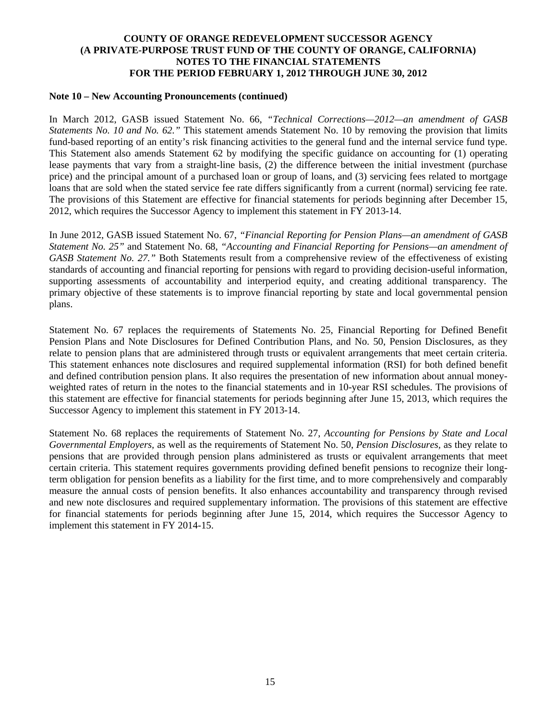#### **Note 10 – New Accounting Pronouncements (continued)**

In March 2012, GASB issued Statement No. 66, *"Technical Corrections—2012—an amendment of GASB Statements No. 10 and No. 62."* This statement amends Statement No. 10 by removing the provision that limits fund-based reporting of an entity's risk financing activities to the general fund and the internal service fund type. This Statement also amends Statement 62 by modifying the specific guidance on accounting for (1) operating lease payments that vary from a straight-line basis, (2) the difference between the initial investment (purchase price) and the principal amount of a purchased loan or group of loans, and (3) servicing fees related to mortgage loans that are sold when the stated service fee rate differs significantly from a current (normal) servicing fee rate. The provisions of this Statement are effective for financial statements for periods beginning after December 15, 2012, which requires the Successor Agency to implement this statement in FY 2013-14.

In June 2012, GASB issued Statement No. 67, *"Financial Reporting for Pension Plans—an amendment of GASB Statement No. 25"* and Statement No. 68, *"Accounting and Financial Reporting for Pensions—an amendment of GASB Statement No. 27."* Both Statements result from a comprehensive review of the effectiveness of existing standards of accounting and financial reporting for pensions with regard to providing decision-useful information, supporting assessments of accountability and interperiod equity, and creating additional transparency. The primary objective of these statements is to improve financial reporting by state and local governmental pension plans.

Statement No. 67 replaces the requirements of Statements No. 25, Financial Reporting for Defined Benefit Pension Plans and Note Disclosures for Defined Contribution Plans, and No. 50, Pension Disclosures, as they relate to pension plans that are administered through trusts or equivalent arrangements that meet certain criteria. This statement enhances note disclosures and required supplemental information (RSI) for both defined benefit and defined contribution pension plans. It also requires the presentation of new information about annual moneyweighted rates of return in the notes to the financial statements and in 10-year RSI schedules. The provisions of this statement are effective for financial statements for periods beginning after June 15, 2013, which requires the Successor Agency to implement this statement in FY 2013-14.

Statement No. 68 replaces the requirements of Statement No. 27, *Accounting for Pensions by State and Local Governmental Employers,* as well as the requirements of Statement No. 50, *Pension Disclosures,* as they relate to pensions that are provided through pension plans administered as trusts or equivalent arrangements that meet certain criteria. This statement requires governments providing defined benefit pensions to recognize their longterm obligation for pension benefits as a liability for the first time, and to more comprehensively and comparably measure the annual costs of pension benefits. It also enhances accountability and transparency through revised and new note disclosures and required supplementary information. The provisions of this statement are effective for financial statements for periods beginning after June 15, 2014, which requires the Successor Agency to implement this statement in FY 2014-15.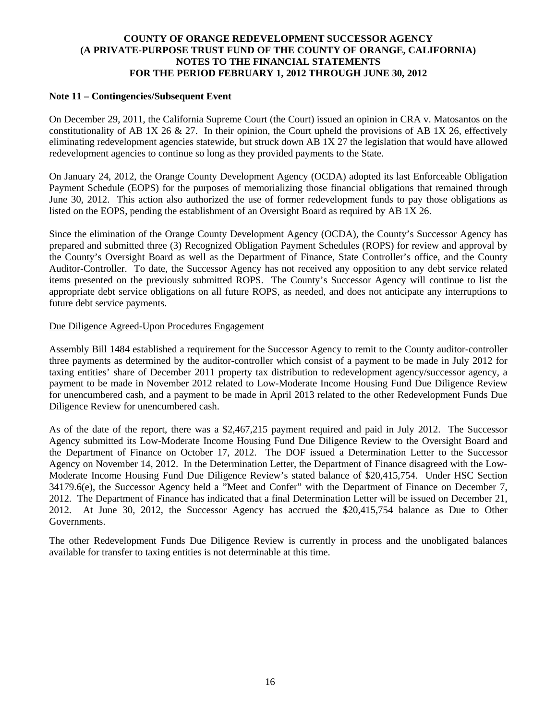#### **Note 11 – Contingencies/Subsequent Event**

On December 29, 2011, the California Supreme Court (the Court) issued an opinion in CRA v. Matosantos on the constitutionality of AB 1X 26  $\&$  27. In their opinion, the Court upheld the provisions of AB 1X 26, effectively eliminating redevelopment agencies statewide, but struck down AB 1X 27 the legislation that would have allowed redevelopment agencies to continue so long as they provided payments to the State.

On January 24, 2012, the Orange County Development Agency (OCDA) adopted its last Enforceable Obligation Payment Schedule (EOPS) for the purposes of memorializing those financial obligations that remained through June 30, 2012. This action also authorized the use of former redevelopment funds to pay those obligations as listed on the EOPS, pending the establishment of an Oversight Board as required by AB 1X 26.

Since the elimination of the Orange County Development Agency (OCDA), the County's Successor Agency has prepared and submitted three (3) Recognized Obligation Payment Schedules (ROPS) for review and approval by the County's Oversight Board as well as the Department of Finance, State Controller's office, and the County Auditor-Controller. To date, the Successor Agency has not received any opposition to any debt service related items presented on the previously submitted ROPS. The County's Successor Agency will continue to list the appropriate debt service obligations on all future ROPS, as needed, and does not anticipate any interruptions to future debt service payments.

# Due Diligence Agreed-Upon Procedures Engagement

Assembly Bill 1484 established a requirement for the Successor Agency to remit to the County auditor-controller three payments as determined by the auditor-controller which consist of a payment to be made in July 2012 for taxing entities' share of December 2011 property tax distribution to redevelopment agency/successor agency, a payment to be made in November 2012 related to Low-Moderate Income Housing Fund Due Diligence Review for unencumbered cash, and a payment to be made in April 2013 related to the other Redevelopment Funds Due Diligence Review for unencumbered cash.

As of the date of the report, there was a \$2,467,215 payment required and paid in July 2012. The Successor Agency submitted its Low-Moderate Income Housing Fund Due Diligence Review to the Oversight Board and the Department of Finance on October 17, 2012. The DOF issued a Determination Letter to the Successor Agency on November 14, 2012. In the Determination Letter, the Department of Finance disagreed with the Low-Moderate Income Housing Fund Due Diligence Review's stated balance of \$20,415,754. Under HSC Section 34179.6(e), the Successor Agency held a "Meet and Confer" with the Department of Finance on December 7, 2012. The Department of Finance has indicated that a final Determination Letter will be issued on December 21, 2012. At June 30, 2012, the Successor Agency has accrued the \$20,415,754 balance as Due to Other Governments.

The other Redevelopment Funds Due Diligence Review is currently in process and the unobligated balances available for transfer to taxing entities is not determinable at this time.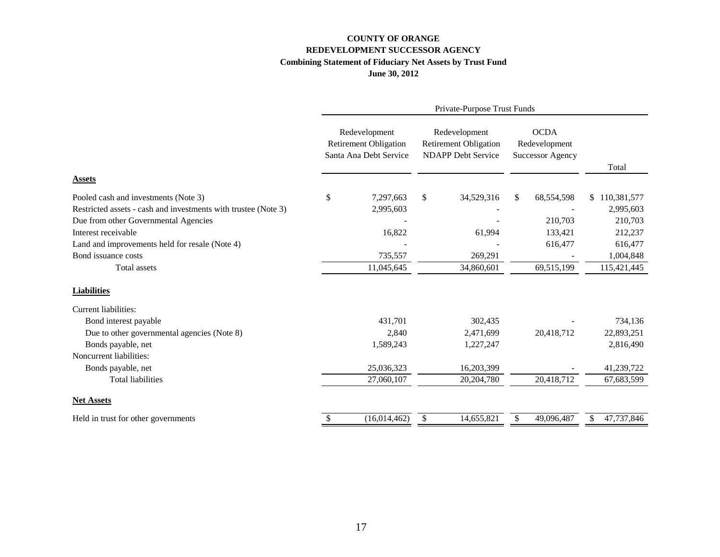### **COUNTY OF ORANGE REDEVELOPMENT SUCCESSOR AGENCY Combining Statement of Fiduciary Net Assets by Trust Fund June 30, 2012**

|                                                                | Private-Purpose Trust Funds                                             |              |                                                                            |            |                                                         |            |                  |  |  |
|----------------------------------------------------------------|-------------------------------------------------------------------------|--------------|----------------------------------------------------------------------------|------------|---------------------------------------------------------|------------|------------------|--|--|
|                                                                | Redevelopment<br><b>Retirement Obligation</b><br>Santa Ana Debt Service |              | Redevelopment<br><b>Retirement Obligation</b><br><b>NDAPP Debt Service</b> |            | <b>OCDA</b><br>Redevelopment<br><b>Successor Agency</b> |            | Total            |  |  |
| <b>Assets</b>                                                  |                                                                         |              |                                                                            |            |                                                         |            |                  |  |  |
| Pooled cash and investments (Note 3)                           | \$                                                                      | 7,297,663    | \$                                                                         | 34,529,316 | $\mathbb{S}$                                            | 68,554,598 | \$110,381,577    |  |  |
| Restricted assets - cash and investments with trustee (Note 3) |                                                                         | 2,995,603    |                                                                            |            |                                                         |            | 2,995,603        |  |  |
| Due from other Governmental Agencies                           |                                                                         |              |                                                                            |            |                                                         | 210,703    | 210,703          |  |  |
| Interest receivable                                            |                                                                         | 16,822       |                                                                            | 61,994     |                                                         | 133,421    | 212,237          |  |  |
| Land and improvements held for resale (Note 4)                 |                                                                         |              |                                                                            |            |                                                         | 616,477    | 616,477          |  |  |
| Bond issuance costs                                            |                                                                         | 735,557      |                                                                            | 269,291    |                                                         |            | 1,004,848        |  |  |
| <b>Total assets</b>                                            |                                                                         | 11,045,645   |                                                                            | 34,860,601 |                                                         | 69,515,199 | 115,421,445      |  |  |
| <b>Liabilities</b>                                             |                                                                         |              |                                                                            |            |                                                         |            |                  |  |  |
| Current liabilities:                                           |                                                                         |              |                                                                            |            |                                                         |            |                  |  |  |
| Bond interest payable                                          |                                                                         | 431,701      |                                                                            | 302,435    |                                                         |            | 734,136          |  |  |
| Due to other governmental agencies (Note 8)                    |                                                                         | 2,840        |                                                                            | 2,471,699  |                                                         | 20,418,712 | 22,893,251       |  |  |
| Bonds payable, net                                             |                                                                         | 1,589,243    |                                                                            | 1,227,247  |                                                         |            | 2,816,490        |  |  |
| Noncurrent liabilities:                                        |                                                                         |              |                                                                            |            |                                                         |            |                  |  |  |
| Bonds payable, net                                             |                                                                         | 25,036,323   |                                                                            | 16,203,399 |                                                         |            | 41,239,722       |  |  |
| <b>Total liabilities</b>                                       |                                                                         | 27,060,107   |                                                                            | 20,204,780 |                                                         | 20,418,712 | 67,683,599       |  |  |
| <b>Net Assets</b>                                              |                                                                         |              |                                                                            |            |                                                         |            |                  |  |  |
| Held in trust for other governments                            | \$                                                                      | (16,014,462) | \$                                                                         | 14,655,821 | \$                                                      | 49,096,487 | 47,737,846<br>\$ |  |  |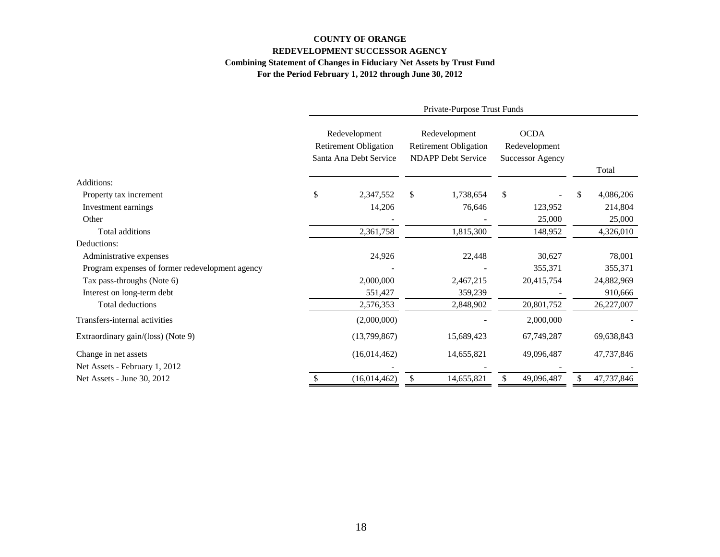### **COUNTY OF ORANGE REDEVELOPMENT SUCCESSOR AGENCY Combining Statement of Changes in Fiduciary Net Assets by Trust Fund For the Period February 1, 2012 through June 30, 2012**

|                                                 | Private-Purpose Trust Funds                                             |              |                                                                            |            |                                                         |                 |
|-------------------------------------------------|-------------------------------------------------------------------------|--------------|----------------------------------------------------------------------------|------------|---------------------------------------------------------|-----------------|
|                                                 | Redevelopment<br><b>Retirement Obligation</b><br>Santa Ana Debt Service |              | Redevelopment<br><b>Retirement Obligation</b><br><b>NDAPP Debt Service</b> |            | <b>OCDA</b><br>Redevelopment<br><b>Successor Agency</b> | Total           |
| Additions:                                      |                                                                         |              |                                                                            |            |                                                         |                 |
| Property tax increment                          | \$                                                                      | 2,347,552    | \$                                                                         | 1,738,654  | \$                                                      | \$<br>4,086,206 |
| Investment earnings                             |                                                                         | 14,206       |                                                                            | 76,646     | 123,952                                                 | 214,804         |
| Other                                           |                                                                         |              |                                                                            |            | 25,000                                                  | 25,000          |
| Total additions                                 |                                                                         | 2,361,758    |                                                                            | 1,815,300  | 148,952                                                 | 4,326,010       |
| Deductions:                                     |                                                                         |              |                                                                            |            |                                                         |                 |
| Administrative expenses                         |                                                                         | 24,926       |                                                                            | 22,448     | 30,627                                                  | 78,001          |
| Program expenses of former redevelopment agency |                                                                         |              |                                                                            |            | 355,371                                                 | 355,371         |
| Tax pass-throughs (Note 6)                      |                                                                         | 2,000,000    |                                                                            | 2,467,215  | 20,415,754                                              | 24,882,969      |
| Interest on long-term debt                      |                                                                         | 551,427      |                                                                            | 359,239    |                                                         | 910,666         |
| Total deductions                                |                                                                         | 2,576,353    |                                                                            | 2,848,902  | 20,801,752                                              | 26,227,007      |
| Transfers-internal activities                   |                                                                         | (2,000,000)  |                                                                            |            | 2,000,000                                               |                 |
| Extraordinary gain/(loss) (Note 9)              |                                                                         | (13,799,867) |                                                                            | 15,689,423 | 67,749,287                                              | 69,638,843      |
| Change in net assets                            |                                                                         | (16,014,462) |                                                                            | 14,655,821 | 49,096,487                                              | 47,737,846      |
| Net Assets - February 1, 2012                   |                                                                         |              |                                                                            |            |                                                         |                 |
| Net Assets - June 30, 2012                      |                                                                         | (16,014,462) |                                                                            | 14,655,821 | 49,096,487                                              | 47,737,846      |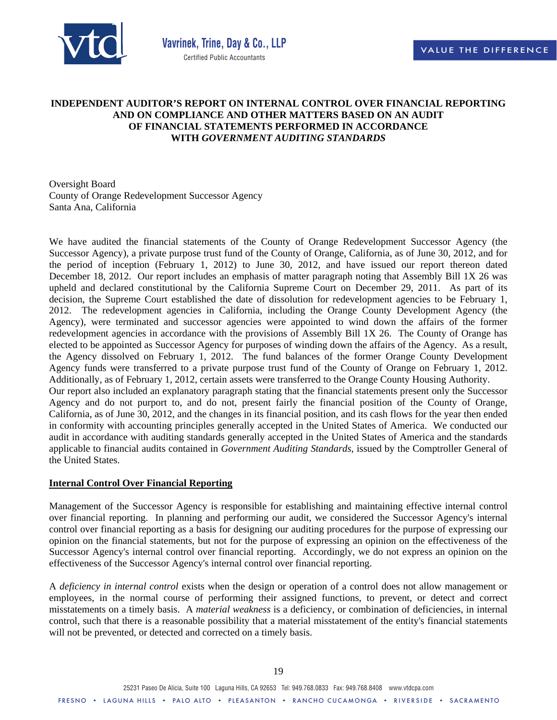

# **INDEPENDENT AUDITOR'S REPORT ON INTERNAL CONTROL OVER FINANCIAL REPORTING AND ON COMPLIANCE AND OTHER MATTERS BASED ON AN AUDIT OF FINANCIAL STATEMENTS PERFORMED IN ACCORDANCE WITH** *GOVERNMENT AUDITING STANDARDS*

Oversight Board County of Orange Redevelopment Successor Agency Santa Ana, California

We have audited the financial statements of the County of Orange Redevelopment Successor Agency (the Successor Agency), a private purpose trust fund of the County of Orange, California, as of June 30, 2012, and for the period of inception (February 1, 2012) to June 30, 2012, and have issued our report thereon dated December 18, 2012. Our report includes an emphasis of matter paragraph noting that Assembly Bill 1X 26 was upheld and declared constitutional by the California Supreme Court on December 29, 2011. As part of its decision, the Supreme Court established the date of dissolution for redevelopment agencies to be February 1, 2012. The redevelopment agencies in California, including the Orange County Development Agency (the Agency), were terminated and successor agencies were appointed to wind down the affairs of the former redevelopment agencies in accordance with the provisions of Assembly Bill 1X 26. The County of Orange has elected to be appointed as Successor Agency for purposes of winding down the affairs of the Agency. As a result, the Agency dissolved on February 1, 2012. The fund balances of the former Orange County Development Agency funds were transferred to a private purpose trust fund of the County of Orange on February 1, 2012. Additionally, as of February 1, 2012, certain assets were transferred to the Orange County Housing Authority. Our report also included an explanatory paragraph stating that the financial statements present only the Successor Agency and do not purport to, and do not, present fairly the financial position of the County of Orange, California, as of June 30, 2012, and the changes in its financial position, and its cash flows for the year then ended in conformity with accounting principles generally accepted in the United States of America. We conducted our audit in accordance with auditing standards generally accepted in the United States of America and the standards applicable to financial audits contained in *Government Auditing Standards*, issued by the Comptroller General of the United States.

# **Internal Control Over Financial Reporting**

Management of the Successor Agency is responsible for establishing and maintaining effective internal control over financial reporting. In planning and performing our audit, we considered the Successor Agency's internal control over financial reporting as a basis for designing our auditing procedures for the purpose of expressing our opinion on the financial statements, but not for the purpose of expressing an opinion on the effectiveness of the Successor Agency's internal control over financial reporting. Accordingly, we do not express an opinion on the effectiveness of the Successor Agency's internal control over financial reporting.

A *deficiency in internal control* exists when the design or operation of a control does not allow management or employees, in the normal course of performing their assigned functions, to prevent, or detect and correct misstatements on a timely basis. A *material weakness* is a deficiency, or combination of deficiencies, in internal control, such that there is a reasonable possibility that a material misstatement of the entity's financial statements will not be prevented, or detected and corrected on a timely basis.